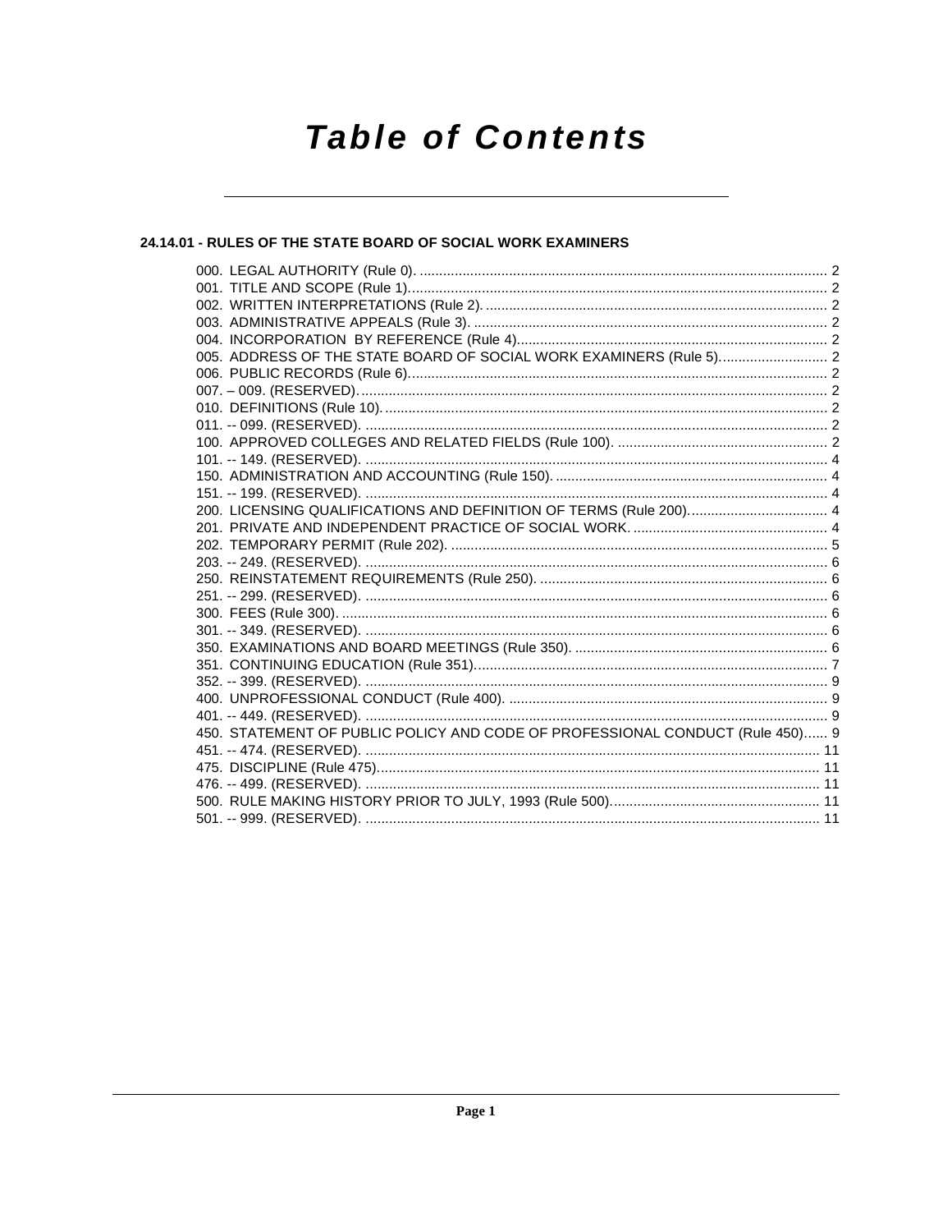# **Table of Contents**

### 24.14.01 - RULES OF THE STATE BOARD OF SOCIAL WORK EXAMINERS

| 005. ADDRESS OF THE STATE BOARD OF SOCIAL WORK EXAMINERS (Rule 5) 2           |  |
|-------------------------------------------------------------------------------|--|
|                                                                               |  |
|                                                                               |  |
|                                                                               |  |
|                                                                               |  |
|                                                                               |  |
|                                                                               |  |
|                                                                               |  |
|                                                                               |  |
|                                                                               |  |
|                                                                               |  |
|                                                                               |  |
|                                                                               |  |
|                                                                               |  |
|                                                                               |  |
|                                                                               |  |
|                                                                               |  |
|                                                                               |  |
|                                                                               |  |
|                                                                               |  |
|                                                                               |  |
|                                                                               |  |
| 450. STATEMENT OF PUBLIC POLICY AND CODE OF PROFESSIONAL CONDUCT (Rule 450) 9 |  |
|                                                                               |  |
|                                                                               |  |
|                                                                               |  |
|                                                                               |  |
|                                                                               |  |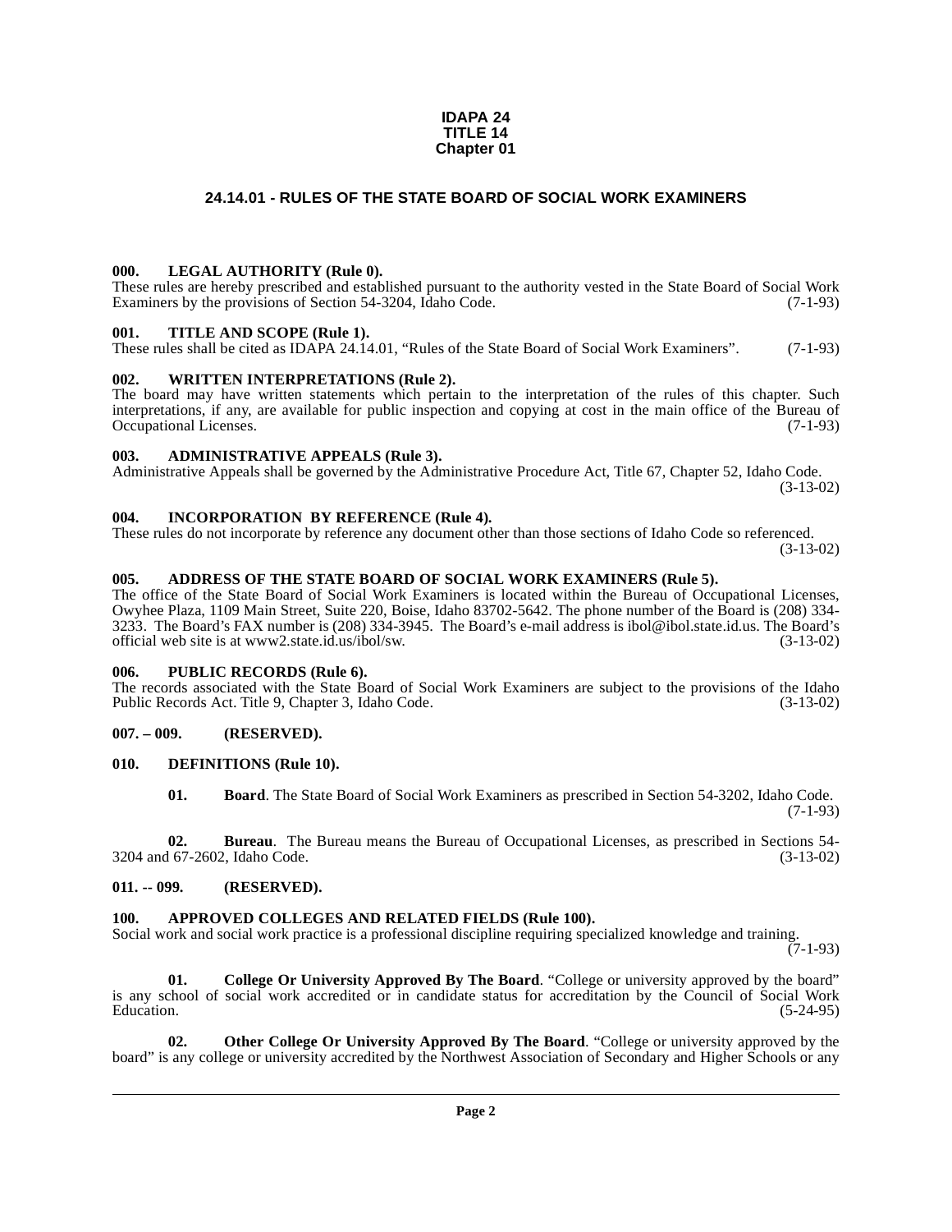#### **IDAPA 24 TITLE 14 Chapter 01**

### **24.14.01 - RULES OF THE STATE BOARD OF SOCIAL WORK EXAMINERS**

### <span id="page-1-1"></span><span id="page-1-0"></span>**000. LEGAL AUTHORITY (Rule 0).**

These rules are hereby prescribed and established pursuant to the authority vested in the State Board of Social Work<br>Examiners by the provisions of Section 54-3204. Idaho Code. (7-1-93) Examiners by the provisions of Section 54-3204, Idaho Code.

### <span id="page-1-2"></span>**001. TITLE AND SCOPE (Rule 1).**

These rules shall be cited as IDAPA 24.14.01, "Rules of the State Board of Social Work Examiners". (7-1-93)

### <span id="page-1-3"></span>**002. WRITTEN INTERPRETATIONS (Rule 2).**

The board may have written statements which pertain to the interpretation of the rules of this chapter. Such interpretations, if any, are available for public inspection and copying at cost in the main office of the Bureau of Occupational Licenses. (7-1-93)

### <span id="page-1-4"></span>**003. ADMINISTRATIVE APPEALS (Rule 3).**

Administrative Appeals shall be governed by the Administrative Procedure Act, Title 67, Chapter 52, Idaho Code. (3-13-02)

### <span id="page-1-5"></span>**004. INCORPORATION BY REFERENCE (Rule 4).**

These rules do not incorporate by reference any document other than those sections of Idaho Code so referenced. (3-13-02)

### <span id="page-1-6"></span>**005. ADDRESS OF THE STATE BOARD OF SOCIAL WORK EXAMINERS (Rule 5).**

[The office of the State Board of Social Work Examiners is located within the Bureau of Occupational Licenses,](http://www2.state.id.us/ibol/sw) Owyhee Plaza, 1109 Main Street, Suite 220, Boise, Idaho 83702-5642. The phone number of the Board is (208) 334- 3233. The Board's FAX number is (208) 334-3945. The Board's e-mail address is ibol@ibol.state.id.us. The Board's official web site is at www2.state.id.us/ibol/sw. (3-13-02)

### <span id="page-1-7"></span>**006. PUBLIC RECORDS (Rule 6).**

The records associated with the State Board of Social Work Examiners are subject to the provisions of the Idaho<br>Public Records Act. Title 9, Chapter 3, Idaho Code. (3-13-02) Public Records Act. Title 9, Chapter 3, Idaho Code.

### <span id="page-1-8"></span>**007. – 009. (RESERVED).**

### <span id="page-1-9"></span>**010. DEFINITIONS (Rule 10).**

<span id="page-1-14"></span>**01. Board**. The State Board of Social Work Examiners as prescribed in Section 54-3202, Idaho Code. (7-1-93)

**02. Bureau**. The Bureau means the Bureau of Occupational Licenses, as prescribed in Sections 54- 3204 and 67-2602, Idaho Code. (3-13-02)

### <span id="page-1-10"></span>**011. -- 099. (RESERVED).**

### <span id="page-1-12"></span><span id="page-1-11"></span>**100. APPROVED COLLEGES AND RELATED FIELDS (Rule 100).**

Social work and social work practice is a professional discipline requiring specialized knowledge and training.

 $(7-1-93)$ 

<span id="page-1-13"></span>**01. College Or University Approved By The Board**. "College or university approved by the board" is any school of social work accredited or in candidate status for accreditation by the Council of Social Work<br>Education. (5-24-95)  $\mu$  Education.  $(5-24-95)$ 

<span id="page-1-15"></span>**02. Other College Or University Approved By The Board**. "College or university approved by the board" is any college or university accredited by the Northwest Association of Secondary and Higher Schools or any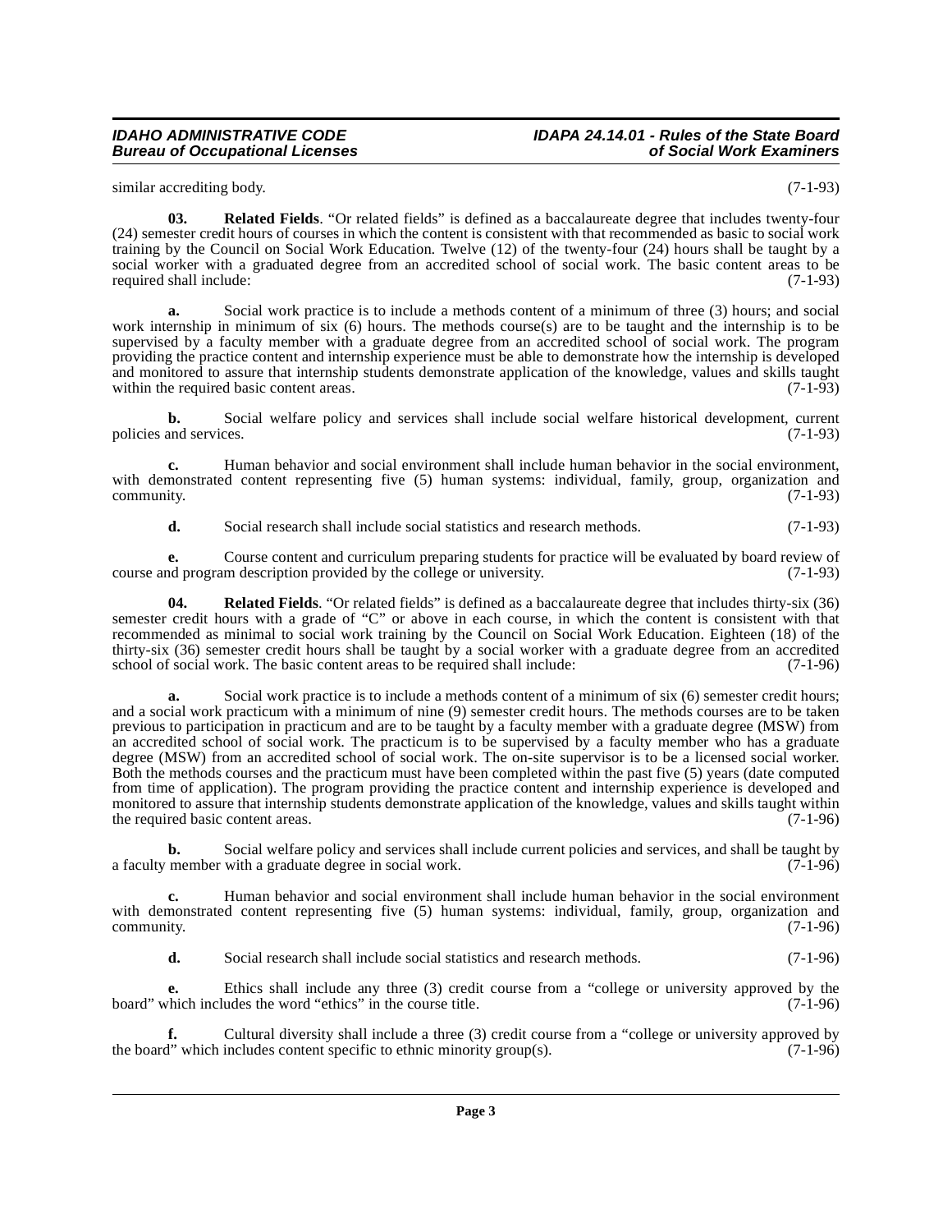similar accrediting body. (7-1-93)

<span id="page-2-0"></span>**03. Related Fields**. "Or related fields" is defined as a baccalaureate degree that includes twenty-four (24) semester credit hours of courses in which the content is consistent with that recommended as basic to social work training by the Council on Social Work Education. Twelve (12) of the twenty-four (24) hours shall be taught by a social worker with a graduated degree from an accredited school of social work. The basic content areas to be required shall include: (7-1-93)

**a.** Social work practice is to include a methods content of a minimum of three (3) hours; and social work internship in minimum of six (6) hours. The methods course(s) are to be taught and the internship is to be supervised by a faculty member with a graduate degree from an accredited school of social work. The program providing the practice content and internship experience must be able to demonstrate how the internship is developed and monitored to assure that internship students demonstrate application of the knowledge, values and skills taught within the required basic content areas. within the required basic content areas.

**b.** Social welfare policy and services shall include social welfare historical development, current and services. (7-1-93) policies and services.

**c.** Human behavior and social environment shall include human behavior in the social environment, with demonstrated content representing five (5) human systems: individual, family, group, organization and  $\epsilon$  (7-1-93)  $(7-1-93)$ 

**d.** Social research shall include social statistics and research methods. (7-1-93)

**e.** Course content and curriculum preparing students for practice will be evaluated by board review of nd program description provided by the college or university. course and program description provided by the college or university.

**04. Related Fields**. "Or related fields" is defined as a baccalaureate degree that includes thirty-six (36) semester credit hours with a grade of "C" or above in each course, in which the content is consistent with that recommended as minimal to social work training by the Council on Social Work Education. Eighteen (18) of the thirty-six (36) semester credit hours shall be taught by a social worker with a graduate degree from an accredited school of social work. The basic content areas to be required shall include: (7-1-96) school of social work. The basic content areas to be required shall include:

**a.** Social work practice is to include a methods content of a minimum of six (6) semester credit hours; and a social work practicum with a minimum of nine (9) semester credit hours. The methods courses are to be taken previous to participation in practicum and are to be taught by a faculty member with a graduate degree (MSW) from an accredited school of social work. The practicum is to be supervised by a faculty member who has a graduate degree (MSW) from an accredited school of social work. The on-site supervisor is to be a licensed social worker. Both the methods courses and the practicum must have been completed within the past five (5) years (date computed from time of application). The program providing the practice content and internship experience is developed and monitored to assure that internship students demonstrate application of the knowledge, values and skills taught within the required basic content areas. (7-1-96)

**b.** Social welfare policy and services shall include current policies and services, and shall be taught by a faculty member with a graduate degree in social work. (7-1-96)

**c.** Human behavior and social environment shall include human behavior in the social environment with demonstrated content representing five (5) human systems: individual, family, group, organization and  $\epsilon$  (7-1-96)  $(7-1-96)$ 

**d.** Social research shall include social statistics and research methods. (7-1-96)

**e.** Ethics shall include any three (3) credit course from a "college or university approved by the chich includes the word "ethics" in the course title. (7-1-96) board" which includes the word "ethics" in the course title.

Cultural diversity shall include a three (3) credit course from a "college or university approved by includes content specific to ethnic minority group(s). (7-1-96) the board" which includes content specific to ethnic minority group(s).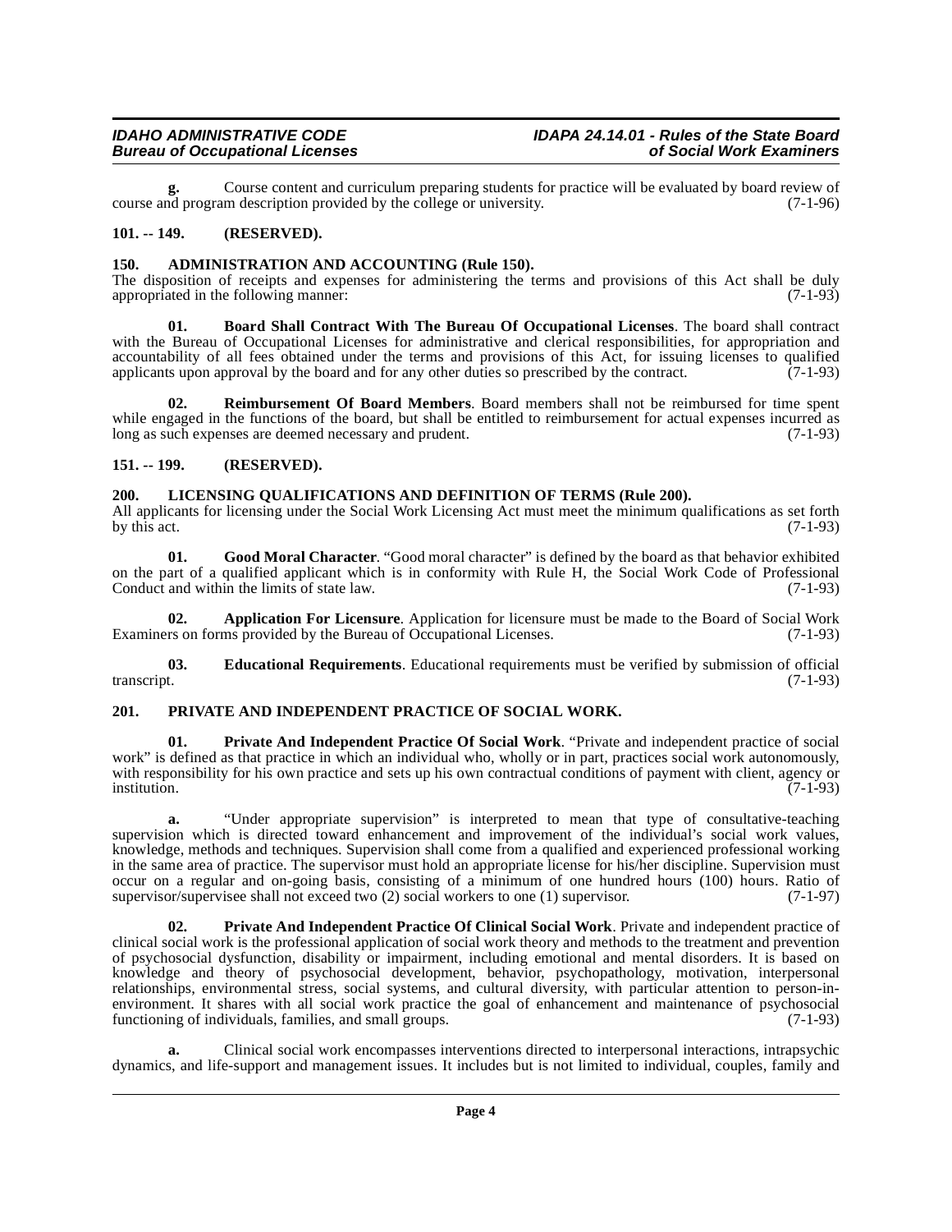**g.** Course content and curriculum preparing students for practice will be evaluated by board review of course and program description provided by the college or university.

### <span id="page-3-0"></span>**101. -- 149. (RESERVED).**

### <span id="page-3-5"></span><span id="page-3-1"></span>**150. ADMINISTRATION AND ACCOUNTING (Rule 150).**

The disposition of receipts and expenses for administering the terms and provisions of this Act shall be duly appropriated in the following manner: appropriated in the following manner:

<span id="page-3-7"></span>**01. Board Shall Contract With The Bureau Of Occupational Licenses**. The board shall contract with the Bureau of Occupational Licenses for administrative and clerical responsibilities, for appropriation and accountability of all fees obtained under the terms and provisions of this Act, for issuing licenses to qualified applicants upon approval by the board and for any other duties so prescribed by the contract. (7-1-93) applicants upon approval by the board and for any other duties so prescribed by the contract.

<span id="page-3-13"></span>**02. Reimbursement Of Board Members**. Board members shall not be reimbursed for time spent while engaged in the functions of the board, but shall be entitled to reimbursement for actual expenses incurred as long as such expenses are deemed necessary and prudent. (7-1-93) long as such expenses are deemed necessary and prudent.

### <span id="page-3-2"></span>**151. -- 199. (RESERVED).**

### <span id="page-3-10"></span><span id="page-3-3"></span>**200. LICENSING QUALIFICATIONS AND DEFINITION OF TERMS (Rule 200).**

All applicants for licensing under the Social Work Licensing Act must meet the minimum qualifications as set forth by this act. (7-1-93) by this act.  $(7-1-93)$ 

<span id="page-3-9"></span>**01. Good Moral Character**. "Good moral character" is defined by the board as that behavior exhibited on the part of a qualified applicant which is in conformity with Rule H, the Social Work Code of Professional Conduct and within the limits of state law. (7-1-93) Conduct and within the limits of state law.

<span id="page-3-6"></span>**02. Application For Licensure**. Application for licensure must be made to the Board of Social Work Examiners on forms provided by the Bureau of Occupational Licenses. (7-1-93)

<span id="page-3-8"></span>**03. Educational Requirements**. Educational requirements must be verified by submission of official transcript. (7-1-93) transcript. (7-1-93)

### <span id="page-3-12"></span><span id="page-3-4"></span>**201. PRIVATE AND INDEPENDENT PRACTICE OF SOCIAL WORK.**

**01. Private And Independent Practice Of Social Work**. "Private and independent practice of social work" is defined as that practice in which an individual who, wholly or in part, practices social work autonomously, with responsibility for his own practice and sets up his own contractual conditions of payment with client, agency or<br>(7-1-93) institution. (7-1-93)

**a.** "Under appropriate supervision" is interpreted to mean that type of consultative-teaching supervision which is directed toward enhancement and improvement of the individual's social work values, knowledge, methods and techniques. Supervision shall come from a qualified and experienced professional working in the same area of practice. The supervisor must hold an appropriate license for his/her discipline. Supervision must occur on a regular and on-going basis, consisting of a minimum of one hundred hours (100) hours. Ratio of supervisor/supervises shall not exceed two (2) social workers to one (1) supervisor. (7-1-97) supervisor/supervisee shall not exceed two  $(2)$  social workers to one  $(1)$  supervisor.

<span id="page-3-11"></span>**02. Private And Independent Practice Of Clinical Social Work**. Private and independent practice of clinical social work is the professional application of social work theory and methods to the treatment and prevention of psychosocial dysfunction, disability or impairment, including emotional and mental disorders. It is based on knowledge and theory of psychosocial development, behavior, psychopathology, motivation, interpersonal relationships, environmental stress, social systems, and cultural diversity, with particular attention to person-inenvironment. It shares with all social work practice the goal of enhancement and maintenance of psychosocial functioning of individuals, families, and small groups. (7-1-93) functioning of individuals, families, and small groups.

**a.** Clinical social work encompasses interventions directed to interpersonal interactions, intrapsychic dynamics, and life-support and management issues. It includes but is not limited to individual, couples, family and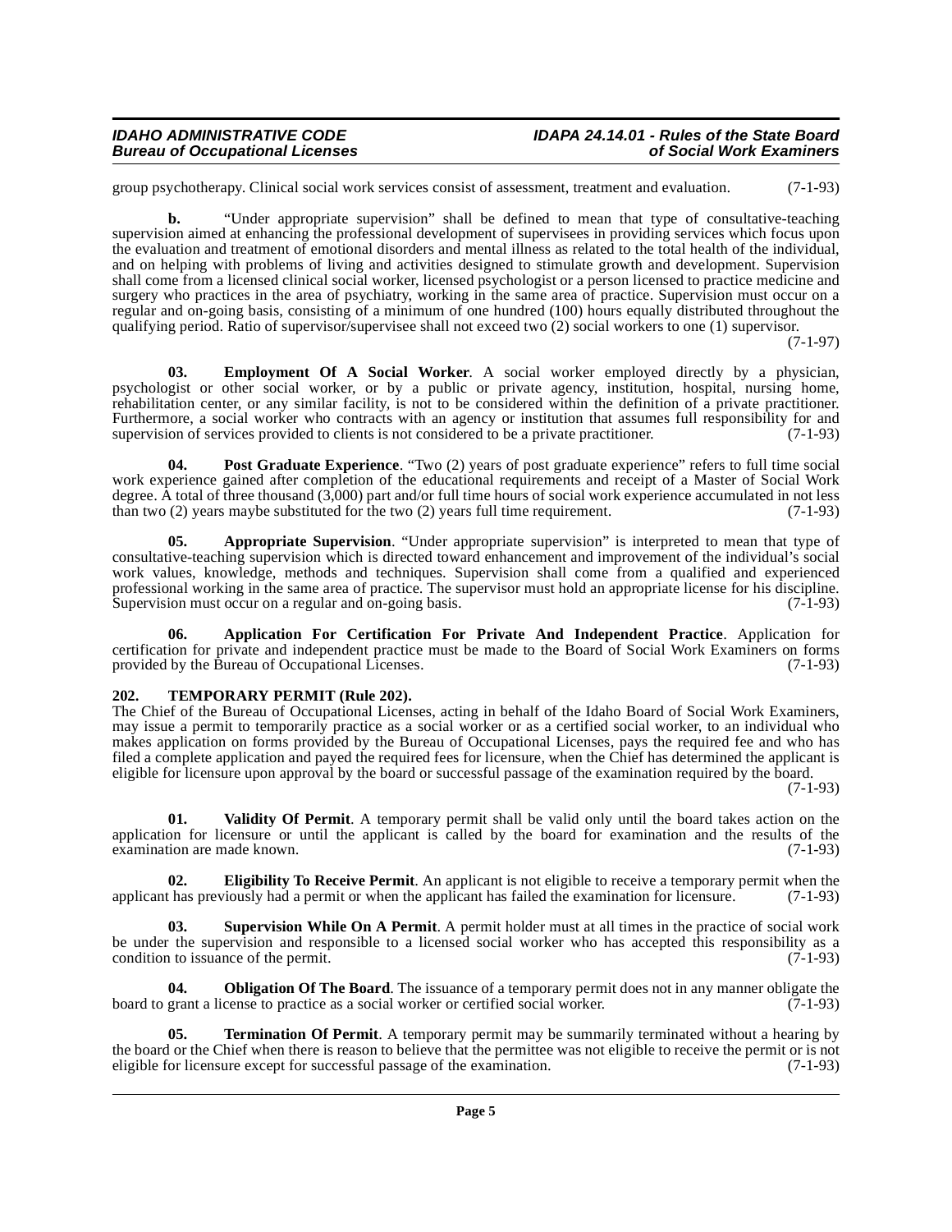# **IDAHO ADMINISTRATIVE CODE IDAPA 24.14.01 - Rules of the State Board**

group psychotherapy. Clinical social work services consist of assessment, treatment and evaluation. (7-1-93)

**b.** "Under appropriate supervision" shall be defined to mean that type of consultative-teaching supervision aimed at enhancing the professional development of supervisees in providing services which focus upon the evaluation and treatment of emotional disorders and mental illness as related to the total health of the individual, and on helping with problems of living and activities designed to stimulate growth and development. Supervision shall come from a licensed clinical social worker, licensed psychologist or a person licensed to practice medicine and surgery who practices in the area of psychiatry, working in the same area of practice. Supervision must occur on a regular and on-going basis, consisting of a minimum of one hundred (100) hours equally distributed throughout the qualifying period. Ratio of supervisor/supervisee shall not exceed two (2) social workers to one (1) supervisor.

(7-1-97)

<span id="page-4-4"></span>**03. Employment Of A Social Worker**. A social worker employed directly by a physician, psychologist or other social worker, or by a public or private agency, institution, hospital, nursing home, rehabilitation center, or any similar facility, is not to be considered within the definition of a private practitioner. Furthermore, a social worker who contracts with an agency or institution that assumes full responsibility for and supervision of services provided to clients is not considered to be a private practitioner. (7-1-93) supervision of services provided to clients is not considered to be a private practitioner.

<span id="page-4-6"></span>**04.** Post Graduate Experience. "Two (2) years of post graduate experience" refers to full time social work experience gained after completion of the educational requirements and receipt of a Master of Social Work degree. A total of three thousand (3,000) part and/or full time hours of social work experience accumulated in not less than two (2) years may be substituted for the two (2) years full time requirement. than two  $(2)$  years maybe substituted for the two  $(2)$  years full time requirement.

<span id="page-4-2"></span>**05. Appropriate Supervision**. "Under appropriate supervision" is interpreted to mean that type of consultative-teaching supervision which is directed toward enhancement and improvement of the individual's social work values, knowledge, methods and techniques. Supervision shall come from a qualified and experienced professional working in the same area of practice. The supervisor must hold an appropriate license for his discipline.<br>Supervision must occur on a regular and on-going basis. (7-1-93) Supervision must occur on a regular and on-going basis.

<span id="page-4-1"></span>**06. Application For Certification For Private And Independent Practice**. Application for certification for private and independent practice must be made to the Board of Social Work Examiners on forms provided by the Bureau of Occupational Licenses. (7-1-93) provided by the Bureau of Occupational Licenses.

### <span id="page-4-8"></span><span id="page-4-0"></span>**202. TEMPORARY PERMIT (Rule 202).**

The Chief of the Bureau of Occupational Licenses, acting in behalf of the Idaho Board of Social Work Examiners, may issue a permit to temporarily practice as a social worker or as a certified social worker, to an individual who makes application on forms provided by the Bureau of Occupational Licenses, pays the required fee and who has filed a complete application and payed the required fees for licensure, when the Chief has determined the applicant is eligible for licensure upon approval by the board or successful passage of the examination required by the board.

(7-1-93)

<span id="page-4-10"></span>**01. Validity Of Permit**. A temporary permit shall be valid only until the board takes action on the application for licensure or until the applicant is called by the board for examination and the results of the examination are made known.  $(7-1-93)$ examination are made known.

<span id="page-4-3"></span>**02. Eligibility To Receive Permit**. An applicant is not eligible to receive a temporary permit when the the state that the state of the examination for licensure. (7-1-93) applicant has previously had a permit or when the applicant has failed the examination for licensure.

<span id="page-4-7"></span>**03. Supervision While On A Permit**. A permit holder must at all times in the practice of social work be under the supervision and responsible to a licensed social worker who has accepted this responsibility as a condition to issuance of the permit.  $(7-1-93)$ condition to issuance of the permit.

<span id="page-4-5"></span>**04. Obligation Of The Board**. The issuance of a temporary permit does not in any manner obligate the grant a license to practice as a social worker or certified social worker. (7-1-93) board to grant a license to practice as a social worker or certified social worker.

<span id="page-4-9"></span>**Termination Of Permit**. A temporary permit may be summarily terminated without a hearing by the board or the Chief when there is reason to believe that the permittee was not eligible to receive the permit or is not eligible for licensure except for successful passage of the examination. (7-1-93)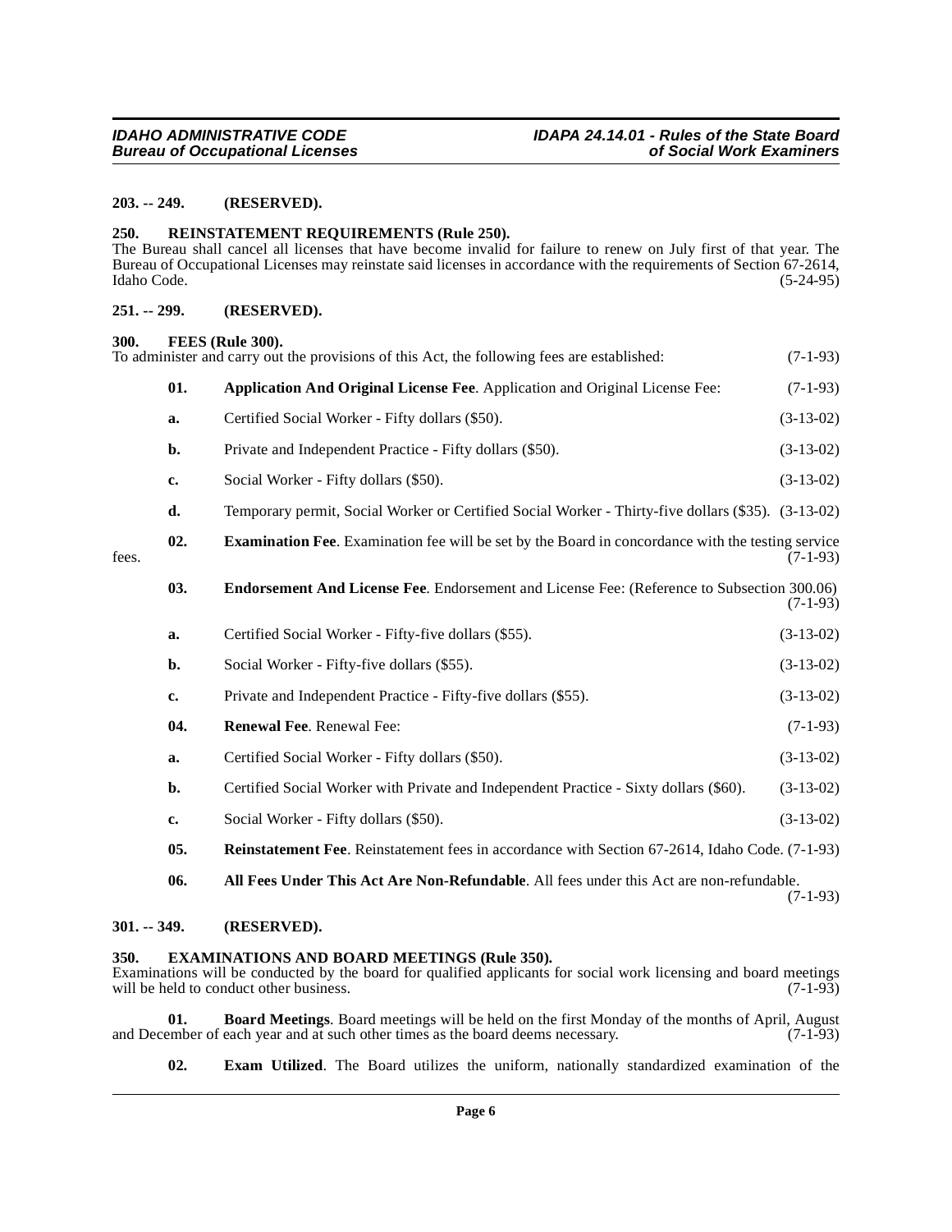### <span id="page-5-0"></span>**203. -- 249. (RESERVED).**

#### <span id="page-5-15"></span><span id="page-5-1"></span>**250. REINSTATEMENT REQUIREMENTS (Rule 250).**

The Bureau shall cancel all licenses that have become invalid for failure to renew on July first of that year. The Bureau of Occupational Licenses may reinstate said licenses in accordance with the requirements of Section 67-2614, Idaho Code. (5-24-95)

#### <span id="page-5-2"></span>**251. -- 299. (RESERVED).**

#### <span id="page-5-13"></span><span id="page-5-3"></span>**300. FEES (Rule 300).**

<span id="page-5-11"></span><span id="page-5-9"></span><span id="page-5-7"></span>To administer and carry out the provisions of this Act, the following fees are established: (7-1-93) **01. Application And Original License Fee**. Application and Original License Fee: (7-1-93) **a.** Certified Social Worker - Fifty dollars (\$50). (3-13-02) **b.** Private and Independent Practice - Fifty dollars (\$50). (3-13-02) **c.** Social Worker - Fifty dollars (\$50). (3-13-02) **d.** Temporary permit, Social Worker or Certified Social Worker - Thirty-five dollars (\$35). (3-13-02) **02. Examination Fee**. Examination fee will be set by the Board in concordance with the testing service fees.  $(7-1-93)$ **03. Endorsement And License Fee**. Endorsement and License Fee: (Reference to Subsection 300.06)  $(7-1-93)$ **a.** Certified Social Worker - Fifty-five dollars (\$55). (3-13-02) **b.** Social Worker - Fifty-five dollars (\$55). (3-13-02) **c.** Private and Independent Practice - Fifty-five dollars (\$55). (3-13-02) **04. Renewal Fee**. Renewal Fee: (7-1-93) **a.** Certified Social Worker - Fifty dollars (\$50). (3-13-02) **b.** Certified Social Worker with Private and Independent Practice - Sixty dollars (\$60). (3-13-02) **c.** Social Worker - Fifty dollars (\$50). (3-13-02) **05. Reinstatement Fee**. Reinstatement fees in accordance with Section 67-2614, Idaho Code. (7-1-93) **06. All Fees Under This Act Are Non-Refundable**. All fees under this Act are non-refundable. (7-1-93)

### <span id="page-5-16"></span><span id="page-5-14"></span><span id="page-5-6"></span><span id="page-5-4"></span>**301. -- 349. (RESERVED).**

### <span id="page-5-12"></span><span id="page-5-5"></span>**350. EXAMINATIONS AND BOARD MEETINGS (Rule 350).**

Examinations will be conducted by the board for qualified applicants for social work licensing and board meetings will be held to conduct other business. (7-1-93) will be held to conduct other business.

**01. Board Meetings**. Board meetings will be held on the first Monday of the months of April, August and December of each year and at such other times as the board deems necessary. (7-1-93)

<span id="page-5-10"></span><span id="page-5-8"></span>**02. Exam Utilized**. The Board utilizes the uniform, nationally standardized examination of the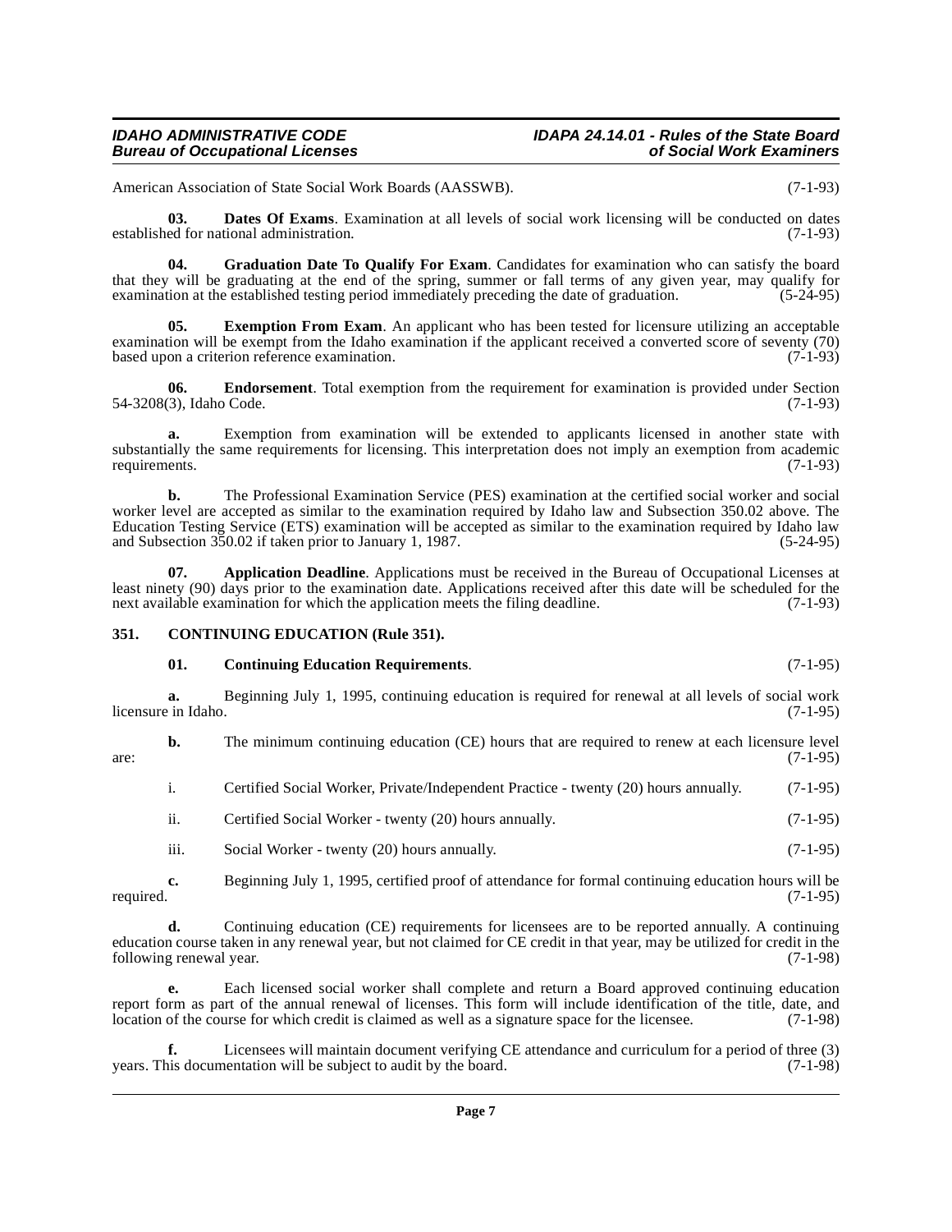# **IDAHO ADMINISTRATIVE CODE IDAPA 24.14.01 - Rules of the State Board**

American Association of State Social Work Boards (AASSWB). (7-1-93)

<span id="page-6-4"></span>**03. Dates Of Exams**. Examination at all levels of social work licensing will be conducted on dates established for national administration. (7-1-93)

<span id="page-6-7"></span>**04. Graduation Date To Qualify For Exam**. Candidates for examination who can satisfy the board that they will be graduating at the end of the spring, summer or fall terms of any given year, may qualify for<br>examination at the established testing period immediately preceding the date of graduation. (5-24-95) examination at the established testing period immediately preceding the date of graduation.

<span id="page-6-6"></span>**05.** Exemption From Exam. An applicant who has been tested for licensure utilizing an acceptable examination will be exempt from the Idaho examination if the applicant received a converted score of seventy (70) based upon a criterion reference examination. (7-1-93)

<span id="page-6-5"></span>**06. Endorsement**. Total exemption from the requirement for examination is provided under Section (3). Idaho Code. (7-1-93) 54-3208(3), Idaho Code.

**a.** Exemption from examination will be extended to applicants licensed in another state with substantially the same requirements for licensing. This interpretation does not imply an exemption from academic requirements. (7-1-93) requirements.

**b.** The Professional Examination Service (PES) examination at the certified social worker and social worker level are accepted as similar to the examination required by Idaho law and Subsection 350.02 above. The Education Testing Service (ETS) examination will be accepted as similar to the examination required by Idaho law and Subsection 350.02 if taken prior to January 1, 1987. and Subsection  $350.02$  if taken prior to January 1, 1987.

<span id="page-6-1"></span>**07. Application Deadline**. Applications must be received in the Bureau of Occupational Licenses at least ninety (90) days prior to the examination date. Applications received after this date will be scheduled for the next available examination for which the application meets the filing deadline. (7-1-93) next available examination for which the application meets the filing deadline.

### <span id="page-6-0"></span>**351. CONTINUING EDUCATION (Rule 351).**

### <span id="page-6-3"></span><span id="page-6-2"></span>**01. Continuing Education Requirements**. (7-1-95)

**a.** Beginning July 1, 1995, continuing education is required for renewal at all levels of social work in Idaho. (7-1-95) licensure in Idaho.

**b.** The minimum continuing education (CE) hours that are required to renew at each licensure level (7-1-95)  $\frac{1}{7-1-95}$  (7-1-95)

i. Certified Social Worker, Private/Independent Practice - twenty (20) hours annually. (7-1-95)

- ii. Certified Social Worker twenty (20) hours annually. (7-1-95)
- iii. Social Worker twenty (20) hours annually. (7-1-95)

**c.** Beginning July 1, 1995, certified proof of attendance for formal continuing education hours will be required. (7-1-95) required.  $(7-1-95)$ 

**d.** Continuing education (CE) requirements for licensees are to be reported annually. A continuing education course taken in any renewal year, but not claimed for CE credit in that year, may be utilized for credit in the following renewal year. following renewal year.

**e.** Each licensed social worker shall complete and return a Board approved continuing education report form as part of the annual renewal of licenses. This form will include identification of the title, date, and location of the course for which credit is claimed as well as a signature space for the licensee. (7-1-98 location of the course for which credit is claimed as well as a signature space for the licensee.

**f.** Licensees will maintain document verifying CE attendance and curriculum for a period of three (3) years. This documentation will be subject to audit by the board. (7-1-98)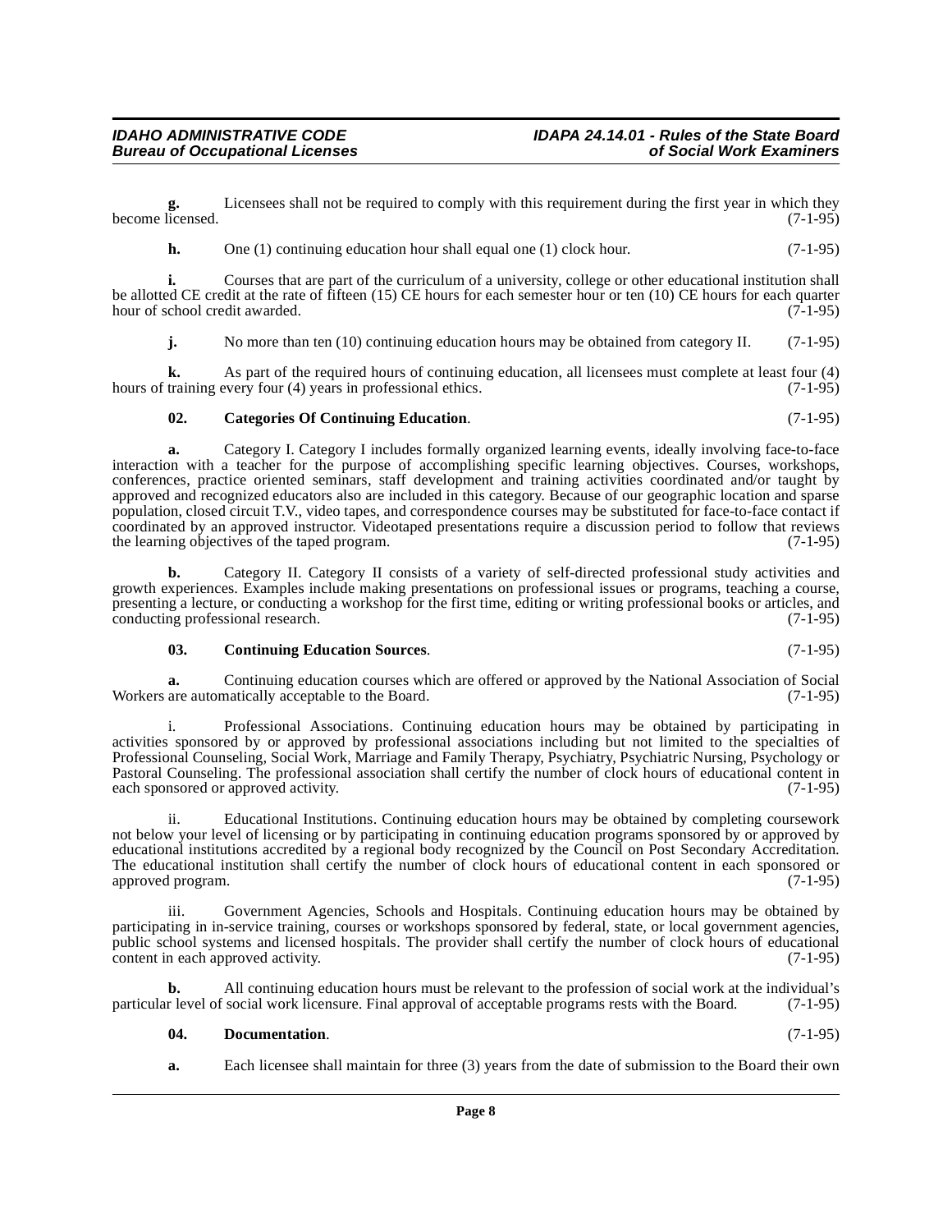**g.** Licensees shall not be required to comply with this requirement during the first year in which they become licensed. (7-1-95)

**h.** One (1) continuing education hour shall equal one (1) clock hour. (7-1-95)

**i.** Courses that are part of the curriculum of a university, college or other educational institution shall be allotted CE credit at the rate of fifteen (15) CE hours for each semester hour or ten (10) CE hours for each quarter hour of school credit awarded.  $(7-1-95)$ hour of school credit awarded.

**j.** No more than ten (10) continuing education hours may be obtained from category II. (7-1-95)

**k.** As part of the required hours of continuing education, all licensees must complete at least four (4) training every four (4) years in professional ethics. (7-1-95) hours of training every four  $(4)$  years in professional ethics.

### <span id="page-7-0"></span>**02. Categories Of Continuing Education**. (7-1-95)

**a.** Category I. Category I includes formally organized learning events, ideally involving face-to-face interaction with a teacher for the purpose of accomplishing specific learning objectives. Courses, workshops, conferences, practice oriented seminars, staff development and training activities coordinated and/or taught by approved and recognized educators also are included in this category. Because of our geographic location and sparse population, closed circuit T.V., video tapes, and correspondence courses may be substituted for face-to-face contact if coordinated by an approved instructor. Videotaped presentations require a discussion period to follow that reviews the learning objectives of the taped program. the learning objectives of the taped program.

**b.** Category II. Category II consists of a variety of self-directed professional study activities and growth experiences. Examples include making presentations on professional issues or programs, teaching a course, presenting a lecture, or conducting a workshop for the first time, editing or writing professional books or articles, and conducting professional research. conducting professional research.

### <span id="page-7-1"></span>**03. Continuing Education Sources**. (7-1-95)

**a.** Continuing education courses which are offered or approved by the National Association of Social are automatically acceptable to the Board. (7-1-95) Workers are automatically acceptable to the Board.

i. Professional Associations. Continuing education hours may be obtained by participating in activities sponsored by or approved by professional associations including but not limited to the specialties of Professional Counseling, Social Work, Marriage and Family Therapy, Psychiatry, Psychiatric Nursing, Psychology or Pastoral Counseling. The professional association shall certify the number of clock hours of educational content in each sponsored or approved activity.

ii. Educational Institutions. Continuing education hours may be obtained by completing coursework not below your level of licensing or by participating in continuing education programs sponsored by or approved by educational institutions accredited by a regional body recognized by the Council on Post Secondary Accreditation. The educational institution shall certify the number of clock hours of educational content in each sponsored or approved program. (7-1-95) approved program.

iii. Government Agencies, Schools and Hospitals. Continuing education hours may be obtained by participating in in-service training, courses or workshops sponsored by federal, state, or local government agencies, public school systems and licensed hospitals. The provider shall certify the number of clock hours of educational content in each approved activity. content in each approved activity.

**b.** All continuing education hours must be relevant to the profession of social work at the individual's r level of social work licensure. Final approval of acceptable programs rests with the Board. (7-1-95) particular level of social work licensure. Final approval of acceptable programs rests with the Board.

### <span id="page-7-2"></span>**04. Documentation**. (7-1-95)

**a.** Each licensee shall maintain for three (3) years from the date of submission to the Board their own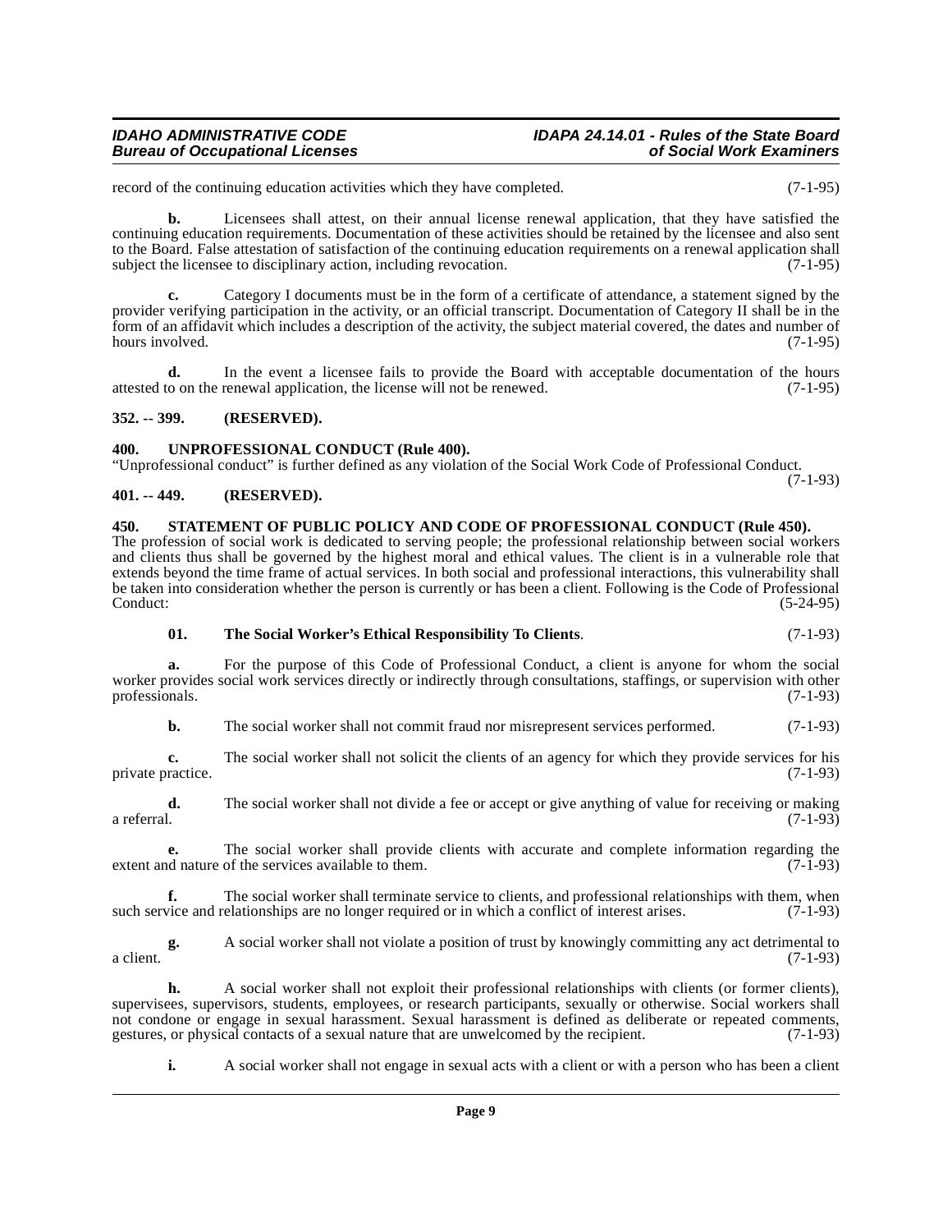## **IDAHO ADMINISTRATIVE CODE IDAPA 24.14.01 - Rules of the State Board**

record of the continuing education activities which they have completed. (7-1-95)

**b.** Licensees shall attest, on their annual license renewal application, that they have satisfied the continuing education requirements. Documentation of these activities should be retained by the licensee and also sent to the Board. False attestation of satisfaction of the continuing education requirements on a renewal application shall<br>subject the licensee to disciplinary action, including revocation. subject the licensee to disciplinary action, including revocation.

**c.** Category I documents must be in the form of a certificate of attendance, a statement signed by the provider verifying participation in the activity, or an official transcript. Documentation of Category II shall be in the form of an affidavit which includes a description of the activity, the subject material covered, the dates and number of hours involved.

**d.** In the event a licensee fails to provide the Board with acceptable documentation of the hours o on the renewal application, the license will not be renewed. (7-1-95) attested to on the renewal application, the license will not be renewed.

### <span id="page-8-0"></span>**352. -- 399. (RESERVED).**

### <span id="page-8-6"></span><span id="page-8-1"></span>**400. UNPROFESSIONAL CONDUCT (Rule 400).**

"Unprofessional conduct" is further defined as any violation of the Social Work Code of Professional Conduct. (7-1-93)

### <span id="page-8-2"></span>**401. -- 449. (RESERVED).**

<span id="page-8-4"></span><span id="page-8-3"></span>**450. STATEMENT OF PUBLIC POLICY AND CODE OF PROFESSIONAL CONDUCT (Rule 450).** The profession of social work is dedicated to serving people; the professional relationship between social workers and clients thus shall be governed by the highest moral and ethical values. The client is in a vulnerable role that extends beyond the time frame of actual services. In both social and professional interactions, this vulnerability shall be taken into consideration whether the person is currently or has been a client. Following is the Code of Professional Conduct: (5-24-95)

### <span id="page-8-5"></span>**01. The Social Worker's Ethical Responsibility To Clients**. (7-1-93)

**a.** For the purpose of this Code of Professional Conduct, a client is anyone for whom the social worker provides social work services directly or indirectly through consultations, staffings, or supervision with other professionals. (7-1-93) professionals.

**b.** The social worker shall not commit fraud nor misrepresent services performed.  $(7-1-93)$ 

**c.** The social worker shall not solicit the clients of an agency for which they provide services for his ractice. (7-1-93) private practice.

**d.** The social worker shall not divide a fee or accept or give anything of value for receiving or making a referral. a referral. (7-1-93)

**e.** The social worker shall provide clients with accurate and complete information regarding the extent and nature of the services available to them. (7-1-93)

**f.** The social worker shall terminate service to clients, and professional relationships with them, when vice and relationships are no longer required or in which a conflict of interest arises. (7-1-93) such service and relationships are no longer required or in which a conflict of interest arises.

**g.** A social worker shall not violate a position of trust by knowingly committing any act detrimental to  $(7-1-93)$ a client.  $(7-1-93)$ 

**h.** A social worker shall not exploit their professional relationships with clients (or former clients), supervisees, supervisors, students, employees, or research participants, sexually or otherwise. Social workers shall not condone or engage in sexual harassment. Sexual harassment is defined as deliberate or repeated comments, gestures, or physical contacts of a sexual nature that are unwelcomed by the recipient. (7-1-93) gestures, or physical contacts of a sexual nature that are unwelcomed by the recipient.

**i.** A social worker shall not engage in sexual acts with a client or with a person who has been a client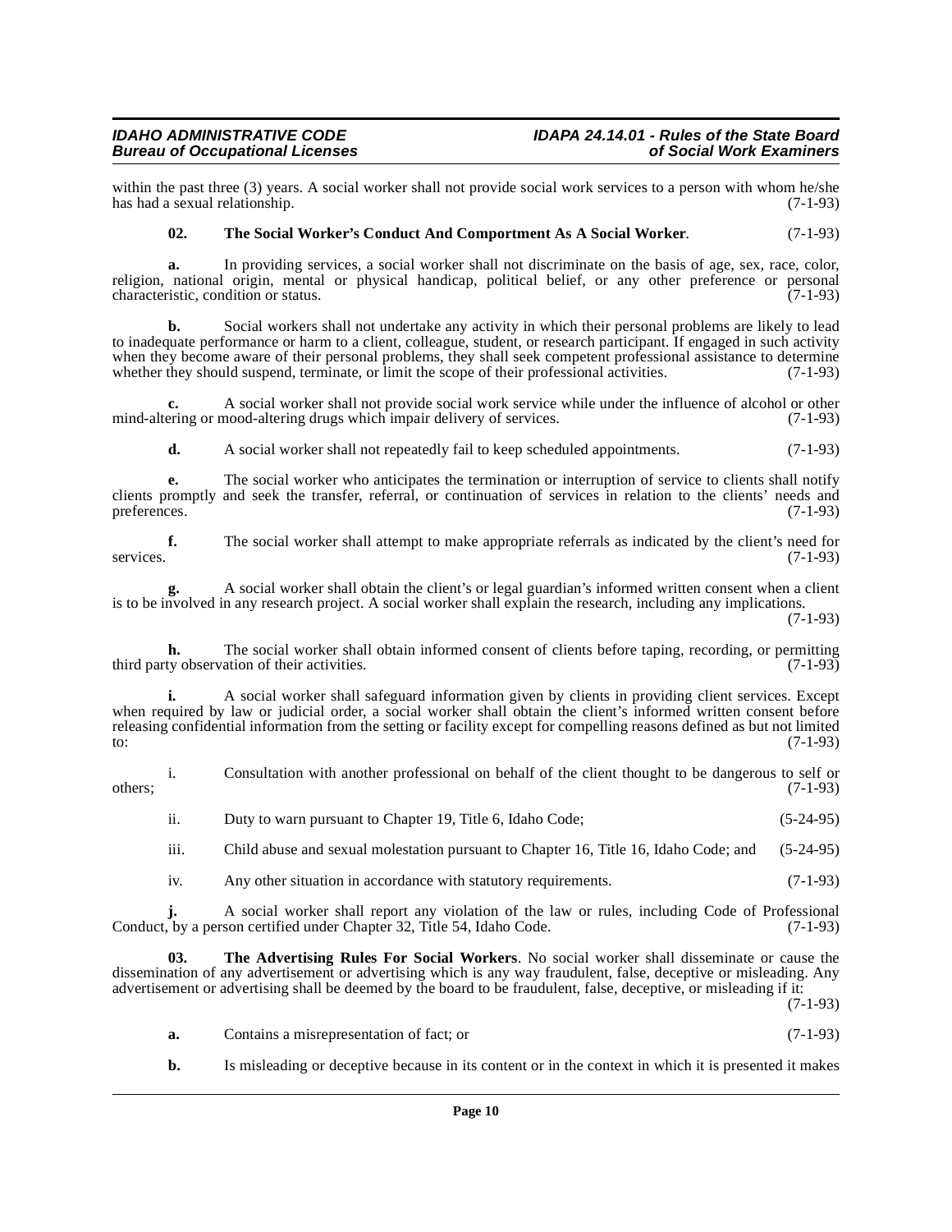### **IDAHO ADMINISTRATIVE CODE IDAPA 24.14.01 - Rules of the State Board Bureau of Occupational Licenses**

within the past three (3) years. A social worker shall not provide social work services to a person with whom he/she has had a sexual relationship.  $(7-1-93)$ has had a sexual relationship.

### <span id="page-9-1"></span>**02. The Social Worker's Conduct And Comportment As A Social Worker**. (7-1-93)

**a.** In providing services, a social worker shall not discriminate on the basis of age, sex, race, color, religion, national origin, mental or physical handicap, political belief, or any other preference or personal characteristic, condition or status. (7-1-93) characteristic, condition or status.

**b.** Social workers shall not undertake any activity in which their personal problems are likely to lead to inadequate performance or harm to a client, colleague, student, or research participant. If engaged in such activity when they become aware of their personal problems, they shall seek competent professional assistance to determine<br>whether they should suspend, terminate, or limit the scope of their professional activities. (7-1-93) whether they should suspend, terminate, or limit the scope of their professional activities.

**c.** A social worker shall not provide social work service while under the influence of alcohol or other mind-altering or mood-altering drugs which impair delivery of services. (7-1-93)

**d.** A social worker shall not repeatedly fail to keep scheduled appointments. (7-1-93)

**e.** The social worker who anticipates the termination or interruption of service to clients shall notify clients promptly and seek the transfer, referral, or continuation of services in relation to the clients' needs and preferences. (7-1-93)

**f.** The social worker shall attempt to make appropriate referrals as indicated by the client's need for services. (7-1-93)

**g.** A social worker shall obtain the client's or legal guardian's informed written consent when a client is to be involved in any research project. A social worker shall explain the research, including any implications.

(7-1-93)

**h.** The social worker shall obtain informed consent of clients before taping, recording, or permitting ty observation of their activities (7-1-93) third party observation of their activities.

**i.** A social worker shall safeguard information given by clients in providing client services. Except when required by law or judicial order, a social worker shall obtain the client's informed written consent before releasing confidential information from the setting or facility except for compelling reasons defined as but not limited to:  $(7-1-93)$ 

i. Consultation with another professional on behalf of the client thought to be dangerous to self or  $\omega$  others;  $(7-1-93)$ 

- ii. Duty to warn pursuant to Chapter 19, Title 6, Idaho Code; (5-24-95)
- iii. Child abuse and sexual molestation pursuant to Chapter 16, Title 16, Idaho Code; and (5-24-95)
- <span id="page-9-0"></span>iv. Any other situation in accordance with statutory requirements. (7-1-93)

**j.** A social worker shall report any violation of the law or rules, including Code of Professional Conduct, by a person certified under Chapter 32, Title 54, Idaho Code. (7-1-93)

**03. The Advertising Rules For Social Workers**. No social worker shall disseminate or cause the dissemination of any advertisement or advertising which is any way fraudulent, false, deceptive or misleading. Any advertisement or advertising shall be deemed by the board to be fraudulent, false, deceptive, or misleading if it:

(7-1-93)

- **a.** Contains a misrepresentation of fact; or (7-1-93)
- **b.** Is misleading or deceptive because in its content or in the context in which it is presented it makes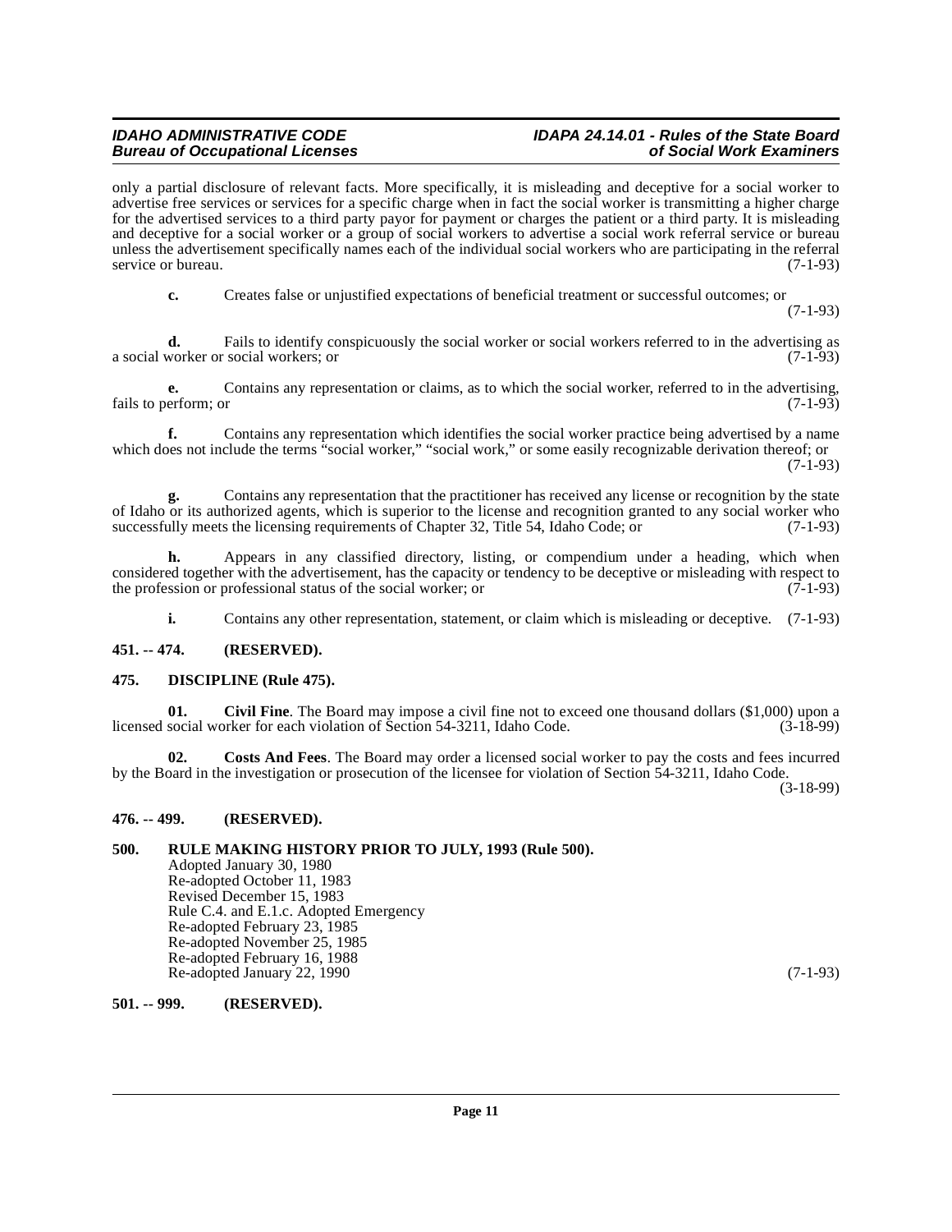# **IDAHO ADMINISTRATIVE CODE IDAPA 24.14.01 - Rules of the State Board**

only a partial disclosure of relevant facts. More specifically, it is misleading and deceptive for a social worker to advertise free services or services for a specific charge when in fact the social worker is transmitting a higher charge for the advertised services to a third party payor for payment or charges the patient or a third party. It is misleading and deceptive for a social worker or a group of social workers to advertise a social work referral service or bureau unless the advertisement specifically names each of the individual social workers who are participating in the referral service or bureau. (7-1-93) service or bureau.

**c.** Creates false or unjustified expectations of beneficial treatment or successful outcomes; or

(7-1-93)

**d.** Fails to identify conspicuously the social worker or social workers referred to in the advertising as worker or social workers; or  $(7-1-93)$ a social worker or social workers; or

**e.** Contains any representation or claims, as to which the social worker, referred to in the advertising, erform: or  $(7-1-93)$ fails to perform; or

**f.** Contains any representation which identifies the social worker practice being advertised by a name which does not include the terms "social worker," "social work," or some easily recognizable derivation thereof; or

 $(7-1-93)$ 

**g.** Contains any representation that the practitioner has received any license or recognition by the state of Idaho or its authorized agents, which is superior to the license and recognition granted to any social worker who successfully meets the licensing requirements of Chapter 32, Title 54, Idaho Code; or (7-1-93) successfully meets the licensing requirements of Chapter 32, Title 54, Idaho Code; or

**h.** Appears in any classified directory, listing, or compendium under a heading, which when considered together with the advertisement, has the capacity or tendency to be deceptive or misleading with respect to<br>the profession or professional status of the social worker; or the profession or professional status of the social worker; or

<span id="page-10-7"></span><span id="page-10-5"></span>**i.** Contains any other representation, statement, or claim which is misleading or deceptive. (7-1-93)

### <span id="page-10-0"></span>**451. -- 474. (RESERVED).**

### <span id="page-10-1"></span>**475. DISCIPLINE (Rule 475).**

**01. Civil Fine**. The Board may impose a civil fine not to exceed one thousand dollars (\$1,000) upon a licensed social worker for each violation of Section 54-3211, Idaho Code. (3-18-99)

<span id="page-10-6"></span>**02. Costs And Fees**. The Board may order a licensed social worker to pay the costs and fees incurred by the Board in the investigation or prosecution of the licensee for violation of Section 54-3211, Idaho Code.

(3-18-99)

### <span id="page-10-2"></span>**476. -- 499. (RESERVED).**

### <span id="page-10-3"></span>**500. RULE MAKING HISTORY PRIOR TO JULY, 1993 (Rule 500).**

Adopted January 30, 1980 Re-adopted October 11, 1983 Revised December 15, 1983 Rule C.4. and E.1.c. Adopted Emergency Re-adopted February 23, 1985 Re-adopted November 25, 1985 Re-adopted February 16, 1988 Re-adopted January 22, 1990 (7-1-93)

### <span id="page-10-4"></span>**501. -- 999. (RESERVED).**